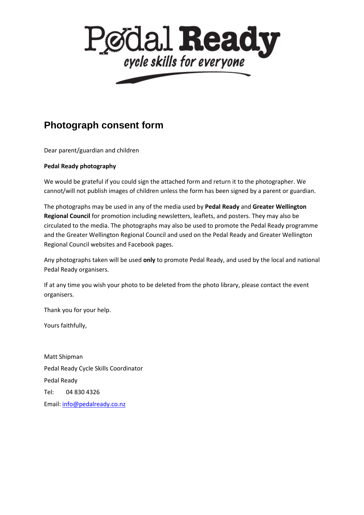

## **Photograph consent form**

Dear parent/guardian and children

## **Pedal Ready photography**

We would be grateful if you could sign the attached form and return it to the photographer. We cannot/will not publish images of children unless the form has been signed by a parent or guardian.

The photographs may be used in any of the media used by **Pedal Ready** and **Greater Wellington Regional Council** for promotion including newsletters, leaflets, and posters. They may also be circulated to the media. The photographs may also be used to promote the Pedal Ready programme and the Greater Wellington Regional Council and used on the Pedal Ready and Greater Wellington Regional Council websites and Facebook pages.

Any photographs taken will be used **only** to promote Pedal Ready, and used by the local and national Pedal Ready organisers.

If at any time you wish your photo to be deleted from the photo library, please contact the event organisers.

Thank you for your help.

Yours faithfully,

Matt Shipman Pedal Ready Cycle Skills Coordinator Pedal Ready Tel: 04 830 4326 Email: [info@pedalready.co.nz](mailto:info@pedalready.co.nz)